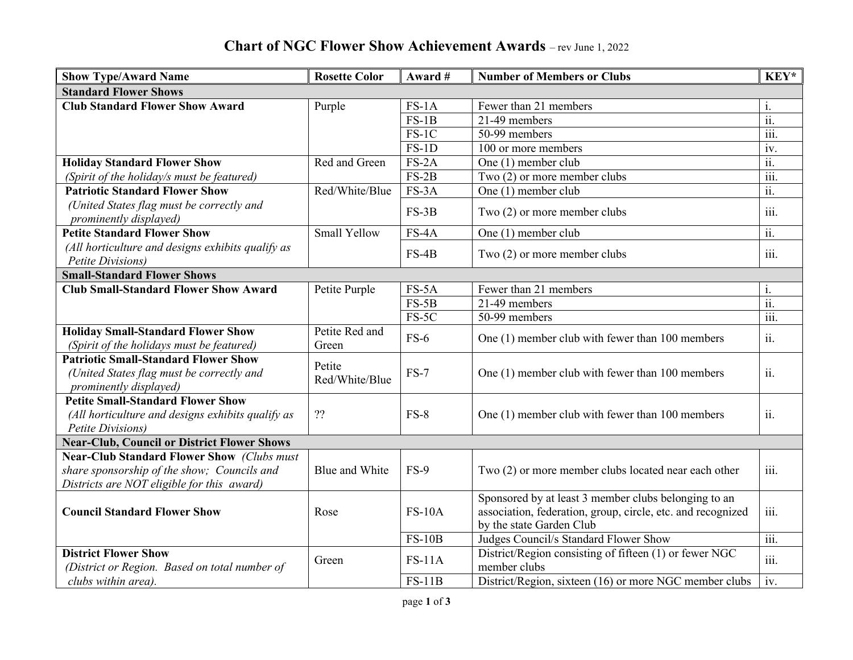## **Chart of NGC Flower Show Achievement Awards** – rev June 1, 2022

| <b>Show Type/Award Name</b>                                                                                                                    | <b>Rosette Color</b>     | Award #       | <b>Number of Members or Clubs</b>                                                                                                               | KEY*                      |  |  |  |  |
|------------------------------------------------------------------------------------------------------------------------------------------------|--------------------------|---------------|-------------------------------------------------------------------------------------------------------------------------------------------------|---------------------------|--|--|--|--|
| <b>Standard Flower Shows</b>                                                                                                                   |                          |               |                                                                                                                                                 |                           |  |  |  |  |
| <b>Club Standard Flower Show Award</b>                                                                                                         | Purple                   | $FS-1A$       | Fewer than 21 members                                                                                                                           | i.                        |  |  |  |  |
|                                                                                                                                                |                          | $FS-1B$       | 21-49 members                                                                                                                                   | $\overline{ii}$ .         |  |  |  |  |
|                                                                                                                                                |                          | $FS-1C$       | 50-99 members                                                                                                                                   | $\overline{\text{iii}}$ . |  |  |  |  |
|                                                                                                                                                |                          | $FS-1D$       | 100 or more members                                                                                                                             | iv.                       |  |  |  |  |
| <b>Holiday Standard Flower Show</b>                                                                                                            | Red and Green            | $FS-2A$       | One (1) member club                                                                                                                             | $\overline{ii}$ .         |  |  |  |  |
| (Spirit of the holiday/s must be featured)                                                                                                     |                          | $FS-2B$       | Two $(2)$ or more member clubs                                                                                                                  | $\overline{\text{iii}}$ . |  |  |  |  |
| <b>Patriotic Standard Flower Show</b>                                                                                                          | Red/White/Blue           | FS-3A         | One (1) member club                                                                                                                             | $\overline{ii}$ .         |  |  |  |  |
| (United States flag must be correctly and<br>prominently displayed)                                                                            |                          | $FS-3B$       | Two (2) or more member clubs                                                                                                                    | iii.                      |  |  |  |  |
| <b>Petite Standard Flower Show</b>                                                                                                             | <b>Small Yellow</b>      | $FS-4A$       | One $(1)$ member club                                                                                                                           | $\overline{ii}$ .         |  |  |  |  |
| (All horticulture and designs exhibits qualify as<br>Petite Divisions)                                                                         |                          | $FS-4B$       | Two (2) or more member clubs                                                                                                                    | iii.                      |  |  |  |  |
| <b>Small-Standard Flower Shows</b>                                                                                                             |                          |               |                                                                                                                                                 |                           |  |  |  |  |
| <b>Club Small-Standard Flower Show Award</b>                                                                                                   | Petite Purple            | $FS-5A$       | Fewer than 21 members                                                                                                                           | i.                        |  |  |  |  |
|                                                                                                                                                |                          | $FS-5B$       | 21-49 members                                                                                                                                   | $\overline{ii}$ .         |  |  |  |  |
|                                                                                                                                                |                          | $FS-5C$       | 50-99 members                                                                                                                                   | $\overline{\text{iii}}$ . |  |  |  |  |
| <b>Holiday Small-Standard Flower Show</b><br>(Spirit of the holidays must be featured)                                                         | Petite Red and<br>Green  | $FS-6$        | One (1) member club with fewer than 100 members                                                                                                 | ii.                       |  |  |  |  |
| <b>Patriotic Small-Standard Flower Show</b><br>(United States flag must be correctly and<br>prominently displayed)                             | Petite<br>Red/White/Blue | $FS-7$        | One (1) member club with fewer than 100 members                                                                                                 | ii.                       |  |  |  |  |
| <b>Petite Small-Standard Flower Show</b><br>(All horticulture and designs exhibits qualify as<br>Petite Divisions)                             | ??                       | $FS-8$        | One (1) member club with fewer than 100 members                                                                                                 | ii.                       |  |  |  |  |
| <b>Near-Club, Council or District Flower Shows</b>                                                                                             |                          |               |                                                                                                                                                 |                           |  |  |  |  |
| <b>Near-Club Standard Flower Show (Clubs must</b><br>share sponsorship of the show; Councils and<br>Districts are NOT eligible for this award) | Blue and White           | $FS-9$        | Two (2) or more member clubs located near each other                                                                                            | iii.                      |  |  |  |  |
| <b>Council Standard Flower Show</b>                                                                                                            | Rose                     | $FS-10A$      | Sponsored by at least 3 member clubs belonging to an<br>association, federation, group, circle, etc. and recognized<br>by the state Garden Club | $\dddot{\text{iii}}$ .    |  |  |  |  |
|                                                                                                                                                |                          | $FS-10B$      | Judges Council/s Standard Flower Show                                                                                                           | $\overline{\text{iii}}$ . |  |  |  |  |
| <b>District Flower Show</b><br>(District or Region. Based on total number of                                                                   | Green                    | <b>FS-11A</b> | District/Region consisting of fifteen (1) or fewer NGC<br>member clubs                                                                          | iii.                      |  |  |  |  |
| clubs within area).                                                                                                                            |                          | $FS-11B$      | District/Region, sixteen (16) or more NGC member clubs                                                                                          | iv.                       |  |  |  |  |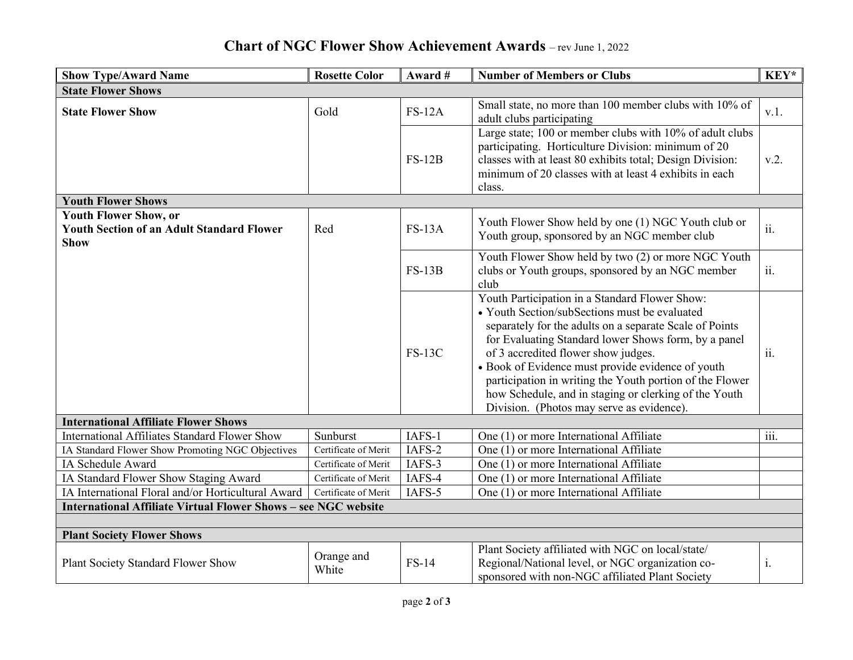## **Chart of NGC Flower Show Achievement Awards** – rev June 1, 2022

| <b>Show Type/Award Name</b>                                                                     | <b>Rosette Color</b> | Award #      | <b>Number of Members or Clubs</b>                                                                                                                                                                                                                                                                                                                                                                                                                                                | KEY* |  |  |  |  |
|-------------------------------------------------------------------------------------------------|----------------------|--------------|----------------------------------------------------------------------------------------------------------------------------------------------------------------------------------------------------------------------------------------------------------------------------------------------------------------------------------------------------------------------------------------------------------------------------------------------------------------------------------|------|--|--|--|--|
| <b>State Flower Shows</b>                                                                       |                      |              |                                                                                                                                                                                                                                                                                                                                                                                                                                                                                  |      |  |  |  |  |
| <b>State Flower Show</b>                                                                        | Gold                 | $FS-12A$     | Small state, no more than 100 member clubs with 10% of<br>adult clubs participating                                                                                                                                                                                                                                                                                                                                                                                              | v.1. |  |  |  |  |
|                                                                                                 |                      | $FS-12B$     | Large state; 100 or member clubs with 10% of adult clubs<br>participating. Horticulture Division: minimum of 20<br>classes with at least 80 exhibits total; Design Division:<br>minimum of 20 classes with at least 4 exhibits in each<br>class.                                                                                                                                                                                                                                 | v.2. |  |  |  |  |
| <b>Youth Flower Shows</b>                                                                       |                      |              |                                                                                                                                                                                                                                                                                                                                                                                                                                                                                  |      |  |  |  |  |
| <b>Youth Flower Show, or</b><br><b>Youth Section of an Adult Standard Flower</b><br><b>Show</b> | Red                  | $FS-13A$     | Youth Flower Show held by one (1) NGC Youth club or<br>Youth group, sponsored by an NGC member club                                                                                                                                                                                                                                                                                                                                                                              | ii.  |  |  |  |  |
|                                                                                                 |                      | $FS-13B$     | Youth Flower Show held by two (2) or more NGC Youth<br>clubs or Youth groups, sponsored by an NGC member<br>club                                                                                                                                                                                                                                                                                                                                                                 | ii.  |  |  |  |  |
|                                                                                                 |                      | $FS-13C$     | Youth Participation in a Standard Flower Show:<br>• Youth Section/subSections must be evaluated<br>separately for the adults on a separate Scale of Points<br>for Evaluating Standard lower Shows form, by a panel<br>of 3 accredited flower show judges.<br>• Book of Evidence must provide evidence of youth<br>participation in writing the Youth portion of the Flower<br>how Schedule, and in staging or clerking of the Youth<br>Division. (Photos may serve as evidence). | ii.  |  |  |  |  |
| <b>International Affiliate Flower Shows</b>                                                     |                      |              |                                                                                                                                                                                                                                                                                                                                                                                                                                                                                  |      |  |  |  |  |
| <b>International Affiliates Standard Flower Show</b>                                            | Sunburst             | IAFS-1       | One (1) or more International Affiliate                                                                                                                                                                                                                                                                                                                                                                                                                                          | iii. |  |  |  |  |
| IA Standard Flower Show Promoting NGC Objectives                                                | Certificate of Merit | IAFS-2       | One (1) or more International Affiliate                                                                                                                                                                                                                                                                                                                                                                                                                                          |      |  |  |  |  |
| IA Schedule Award                                                                               | Certificate of Merit | IAFS-3       | One (1) or more International Affiliate                                                                                                                                                                                                                                                                                                                                                                                                                                          |      |  |  |  |  |
| IA Standard Flower Show Staging Award                                                           | Certificate of Merit | IAFS-4       | One (1) or more International Affiliate                                                                                                                                                                                                                                                                                                                                                                                                                                          |      |  |  |  |  |
| IA International Floral and/or Horticultural Award                                              | Certificate of Merit | IAFS-5       | One (1) or more International Affiliate                                                                                                                                                                                                                                                                                                                                                                                                                                          |      |  |  |  |  |
| <b>International Affiliate Virtual Flower Shows - see NGC website</b>                           |                      |              |                                                                                                                                                                                                                                                                                                                                                                                                                                                                                  |      |  |  |  |  |
|                                                                                                 |                      |              |                                                                                                                                                                                                                                                                                                                                                                                                                                                                                  |      |  |  |  |  |
| <b>Plant Society Flower Shows</b>                                                               |                      |              |                                                                                                                                                                                                                                                                                                                                                                                                                                                                                  |      |  |  |  |  |
| Plant Society Standard Flower Show                                                              | Orange and<br>White  | <b>FS-14</b> | Plant Society affiliated with NGC on local/state/<br>Regional/National level, or NGC organization co-<br>sponsored with non-NGC affiliated Plant Society                                                                                                                                                                                                                                                                                                                         | i.   |  |  |  |  |